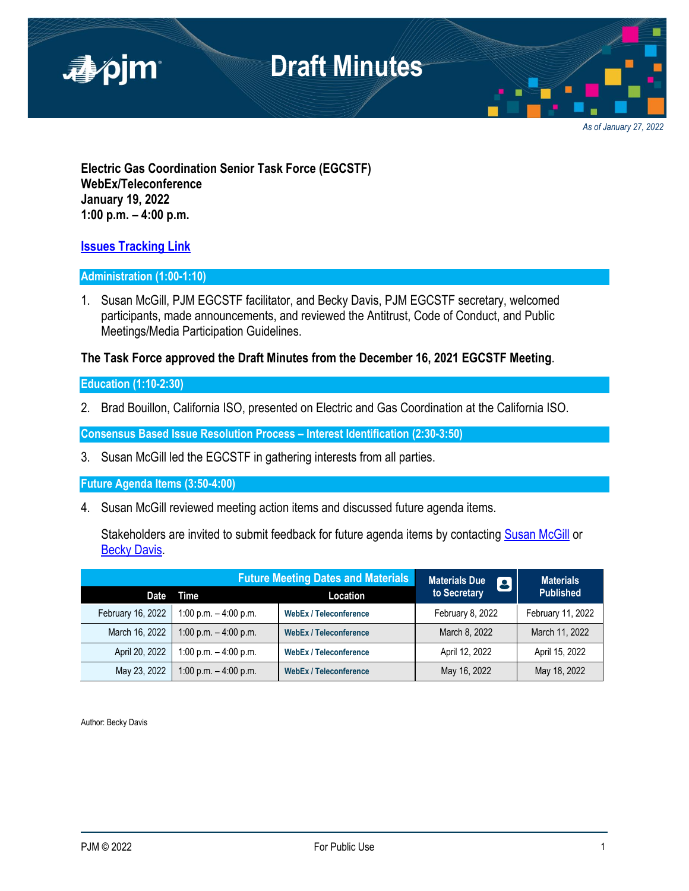

*As of January 27, 2022*

**Electric Gas Coordination Senior Task Force (EGCSTF) WebEx/Teleconference January 19, 2022 1:00 p.m. – 4:00 p.m.**

### **[Issues Tracking Link](https://www.pjm.com/committees-and-groups/issue-tracking/issue-tracking-details.aspx?Issue=e3c8385c-0638-4a1d-a5d2-8b1a2a87c295)**

#### **Administration (1:00-1:10)**

1. Susan McGill, PJM EGCSTF facilitator, and Becky Davis, PJM EGCSTF secretary, welcomed participants, made announcements, and reviewed the Antitrust, Code of Conduct, and Public Meetings/Media Participation Guidelines.

### **The Task Force approved the Draft Minutes from the December 16, 2021 EGCSTF Meeting**.

#### **Education (1:10-2:30)**

2. Brad Bouillon, California ISO, presented on Electric and Gas Coordination at the California ISO.

**Consensus Based Issue Resolution Process – Interest Identification (2:30-3:50)**

3. Susan McGill led the EGCSTF in gathering interests from all parties.

**Future Agenda Items (3:50-4:00)**

4. Susan McGill reviewed meeting action items and discussed future agenda items.

Stakeholders are invited to submit feedback for future agenda items by contacting [Susan McGill](mailto:McGill,%20Susan%20%3cSusan.McGill@pjm.com%3e) or **[Becky Davis.](mailto:Elizabeth.Davis@pjm.com)** 

| <b>Future Meeting Dates and Materials</b> |                         |                               | <b>Materials Due</b><br>to Secretary<br><b>13)</b> | <b>Materials</b>  |
|-------------------------------------------|-------------------------|-------------------------------|----------------------------------------------------|-------------------|
| <b>Date</b>                               | Time                    | Location                      |                                                    | <b>Published</b>  |
| February 16, 2022                         | 1:00 p.m. $-$ 4:00 p.m. | <b>WebEx / Teleconference</b> | February 8, 2022                                   | February 11, 2022 |
| March 16, 2022                            | 1:00 p.m. $-$ 4:00 p.m. | <b>WebEx / Teleconference</b> | March 8, 2022                                      | March 11, 2022    |
| April 20, 2022                            | 1:00 p.m. $-$ 4:00 p.m. | <b>WebEx / Teleconference</b> | April 12, 2022                                     | April 15, 2022    |
| May 23, 2022                              | 1:00 p.m. $-$ 4:00 p.m. | <b>WebEx / Teleconference</b> | May 16, 2022                                       | May 18, 2022      |

Author: Becky Davis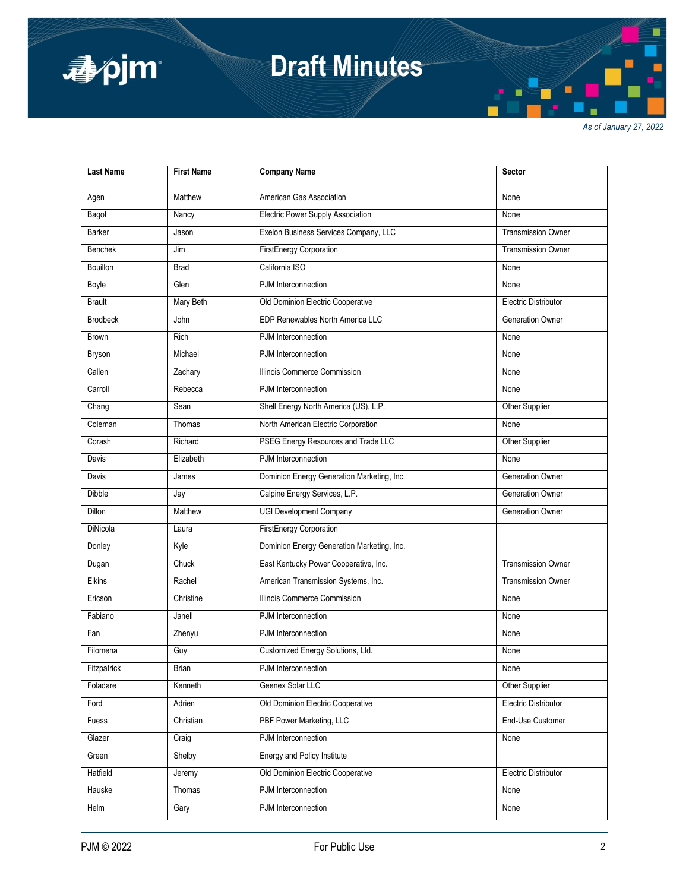

# **Draft Minutes**

*As of January 27, 2022*

| <b>Last Name</b> | <b>First Name</b> | <b>Company Name</b>                        | Sector                      |
|------------------|-------------------|--------------------------------------------|-----------------------------|
| Agen             | Matthew           | American Gas Association                   | None                        |
| Bagot            | Nancy             | Electric Power Supply Association          | None                        |
| <b>Barker</b>    | Jason             | Exelon Business Services Company, LLC      | <b>Transmission Owner</b>   |
| <b>Benchek</b>   | Jim               | <b>FirstEnergy Corporation</b>             | <b>Transmission Owner</b>   |
| Bouillon         | <b>Brad</b>       | California ISO                             | None                        |
| Boyle            | Glen              | PJM Interconnection                        | None                        |
| <b>Brault</b>    | Mary Beth         | Old Dominion Electric Cooperative          | <b>Electric Distributor</b> |
| <b>Brodbeck</b>  | John              | EDP Renewables North America LLC           | <b>Generation Owner</b>     |
| <b>Brown</b>     | Rich              | PJM Interconnection                        | None                        |
| <b>Bryson</b>    | Michael           | PJM Interconnection                        | None                        |
| Callen           | Zachary           | Illinois Commerce Commission               | None                        |
| Carroll          | Rebecca           | PJM Interconnection                        | None                        |
| Chang            | Sean              | Shell Energy North America (US), L.P.      | Other Supplier              |
| Coleman          | Thomas            | North American Electric Corporation        | None                        |
| Corash           | Richard           | PSEG Energy Resources and Trade LLC        | Other Supplier              |
| Davis            | Elizabeth         | PJM Interconnection                        | None                        |
| Davis            | James             | Dominion Energy Generation Marketing, Inc. | <b>Generation Owner</b>     |
| <b>Dibble</b>    | Jay               | Calpine Energy Services, L.P.              | <b>Generation Owner</b>     |
| Dillon           | Matthew           | <b>UGI Development Company</b>             | <b>Generation Owner</b>     |
| DiNicola         | Laura             | <b>FirstEnergy Corporation</b>             |                             |
| Donley           | Kyle              | Dominion Energy Generation Marketing, Inc. |                             |
| Dugan            | Chuck             | East Kentucky Power Cooperative, Inc.      | <b>Transmission Owner</b>   |
| Elkins           | Rachel            | American Transmission Systems, Inc.        | <b>Transmission Owner</b>   |
| Ericson          | Christine         | Illinois Commerce Commission               | None                        |
| Fabiano          | Janell            | PJM Interconnection                        | None                        |
| Fan              | Zhenyu            | PJM Interconnection                        | None                        |
| Filomena         | Guy               | Customized Energy Solutions, Ltd.          | None                        |
| Fitzpatrick      | <b>Brian</b>      | PJM Interconnection                        | None                        |
| Foladare         | Kenneth           | Geenex Solar LLC                           | Other Supplier              |
| Ford             | Adrien            | Old Dominion Electric Cooperative          | <b>Electric Distributor</b> |
| Fuess            | Christian         | PBF Power Marketing, LLC                   | End-Use Customer            |
| Glazer           | Craig             | PJM Interconnection                        | None                        |
| Green            | Shelby            | <b>Energy and Policy Institute</b>         |                             |
| Hatfield         | Jeremy            | Old Dominion Electric Cooperative          | Electric Distributor        |
| Hauske           | Thomas            | PJM Interconnection                        | None                        |
| Helm             | Gary              | PJM Interconnection                        | None                        |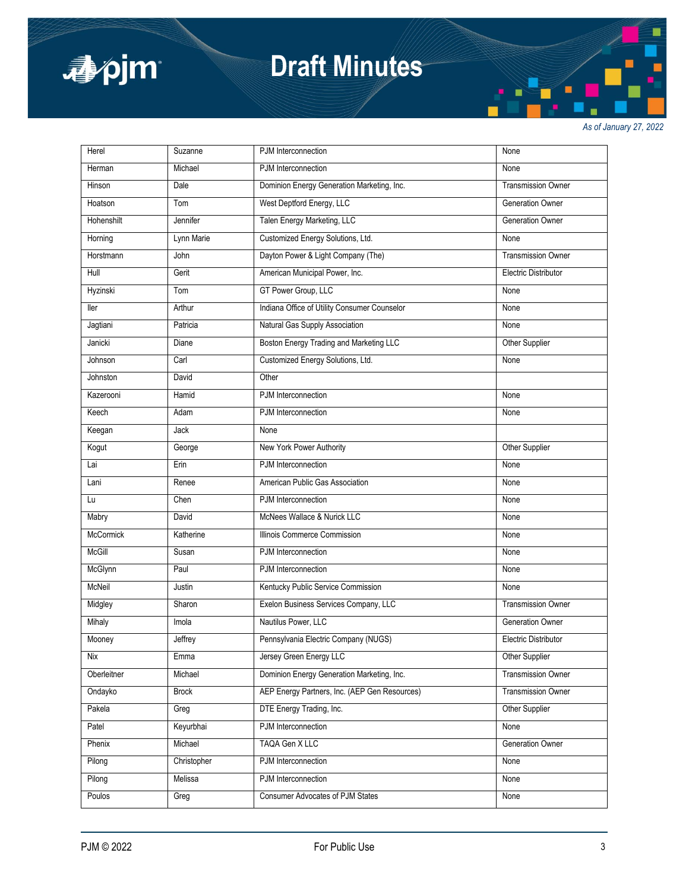

# **Draft Minutes**

*As of January 27, 2022*

| Herel       | Suzanne      | PJM Interconnection                           | None                        |
|-------------|--------------|-----------------------------------------------|-----------------------------|
| Herman      | Michael      | PJM Interconnection                           | None                        |
| Hinson      | Dale         | Dominion Energy Generation Marketing, Inc.    | <b>Transmission Owner</b>   |
| Hoatson     | Tom          | West Deptford Energy, LLC                     | <b>Generation Owner</b>     |
| Hohenshilt  | Jennifer     | Talen Energy Marketing, LLC                   | <b>Generation Owner</b>     |
| Horning     | Lynn Marie   | Customized Energy Solutions, Ltd.             | None                        |
| Horstmann   | John         | Dayton Power & Light Company (The)            | <b>Transmission Owner</b>   |
| Hull        | Gerit        | American Municipal Power, Inc.                | Electric Distributor        |
| Hyzinski    | Tom          | GT Power Group, LLC                           | None                        |
| ller        | Arthur       | Indiana Office of Utility Consumer Counselor  | None                        |
| Jagtiani    | Patricia     | Natural Gas Supply Association                | None                        |
| Janicki     | Diane        | Boston Energy Trading and Marketing LLC       | Other Supplier              |
| Johnson     | Carl         | Customized Energy Solutions, Ltd.             | None                        |
| Johnston    | David        | Other                                         |                             |
| Kazerooni   | Hamid        | PJM Interconnection                           | None                        |
| Keech       | Adam         | PJM Interconnection                           | None                        |
| Keegan      | Jack         | None                                          |                             |
| Kogut       | George       | New York Power Authority                      | Other Supplier              |
| Lai         | Erin         | PJM Interconnection                           | None                        |
| Lani        | Renee        | American Public Gas Association               | None                        |
| Lu          | Chen         | PJM Interconnection                           | None                        |
| Mabry       | David        | McNees Wallace & Nurick LLC                   | None                        |
| McCormick   | Katherine    | Illinois Commerce Commission                  | None                        |
| McGill      | Susan        | PJM Interconnection                           | None                        |
| McGlynn     | Paul         | PJM Interconnection                           | None                        |
| McNeil      | Justin       | Kentucky Public Service Commission            | None                        |
| Midgley     | Sharon       | Exelon Business Services Company, LLC         | <b>Transmission Owner</b>   |
| Mihaly      | Imola        | Nautilus Power, LLC                           | <b>Generation Owner</b>     |
| Mooney      | Jeffrey      | Pennsylvania Electric Company (NUGS)          | <b>Electric Distributor</b> |
| Nix         | Emma         | Jersey Green Energy LLC                       | Other Supplier              |
| Oberleitner | Michael      | Dominion Energy Generation Marketing, Inc.    | <b>Transmission Owner</b>   |
| Ondayko     | <b>Brock</b> | AEP Energy Partners, Inc. (AEP Gen Resources) | <b>Transmission Owner</b>   |
| Pakela      | Greg         | DTE Energy Trading, Inc.                      | Other Supplier              |
| Patel       | Keyurbhai    | PJM Interconnection                           | None                        |
| Phenix      | Michael      | TAQA Gen X LLC                                | Generation Owner            |
| Pilong      | Christopher  | PJM Interconnection                           | None                        |
| Pilong      | Melissa      | PJM Interconnection                           | None                        |
| Poulos      | Greg         | <b>Consumer Advocates of PJM States</b>       | None                        |